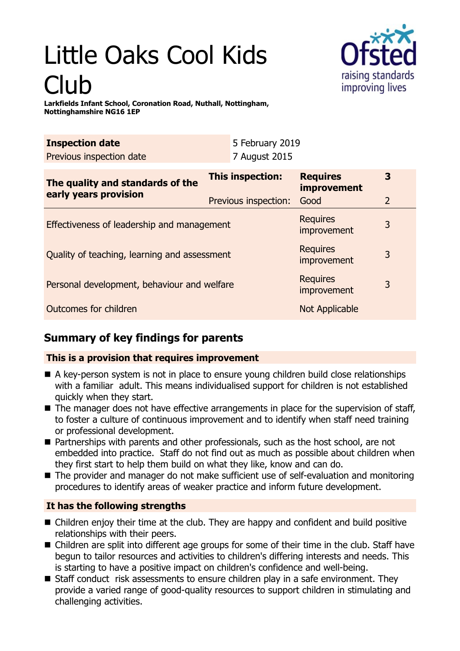# Little Oaks Cool Kids Club



**Larkfields Infant School, Coronation Road, Nuthall, Nottingham, Nottinghamshire NG16 1EP**

| <b>Inspection date</b><br>Previous inspection date        | 5 February 2019<br>7 August 2015         |                                               |                     |
|-----------------------------------------------------------|------------------------------------------|-----------------------------------------------|---------------------|
| The quality and standards of the<br>early years provision | This inspection:<br>Previous inspection: | <b>Requires</b><br><i>improvement</i><br>Good | 3<br>$\overline{2}$ |
| Effectiveness of leadership and management                |                                          | <b>Requires</b><br>improvement                | 3                   |
| Quality of teaching, learning and assessment              |                                          | <b>Requires</b><br>improvement                | 3                   |
| Personal development, behaviour and welfare               |                                          | <b>Requires</b><br>improvement                | 3                   |
| Outcomes for children                                     |                                          | Not Applicable                                |                     |

# **Summary of key findings for parents**

### **This is a provision that requires improvement**

- A key-person system is not in place to ensure young children build close relationships with a familiar adult. This means individualised support for children is not established quickly when they start.
- $\blacksquare$  The manager does not have effective arrangements in place for the supervision of staff, to foster a culture of continuous improvement and to identify when staff need training or professional development.
- Partnerships with parents and other professionals, such as the host school, are not embedded into practice. Staff do not find out as much as possible about children when they first start to help them build on what they like, know and can do.
- The provider and manager do not make sufficient use of self-evaluation and monitoring procedures to identify areas of weaker practice and inform future development.

## **It has the following strengths**

- $\blacksquare$  Children enjoy their time at the club. They are happy and confident and build positive relationships with their peers.
- Children are split into different age groups for some of their time in the club. Staff have begun to tailor resources and activities to children's differing interests and needs. This is starting to have a positive impact on children's confidence and well-being.
- Staff conduct risk assessments to ensure children play in a safe environment. They provide a varied range of good-quality resources to support children in stimulating and challenging activities.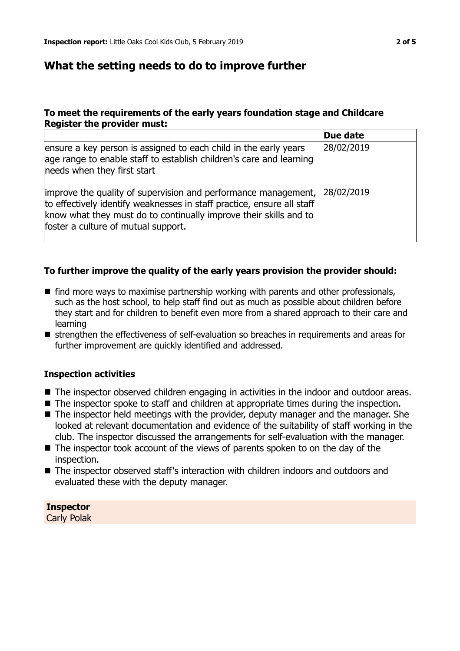## **What the setting needs to do to improve further**

#### **To meet the requirements of the early years foundation stage and Childcare Register the provider must:**

|                                                                                                                                                                                                                                                      | Due date   |
|------------------------------------------------------------------------------------------------------------------------------------------------------------------------------------------------------------------------------------------------------|------------|
| ensure a key person is assigned to each child in the early years<br>age range to enable staff to establish children's care and learning<br>needs when they first start                                                                               | 28/02/2019 |
| improve the quality of supervision and performance management,<br>to effectively identify weaknesses in staff practice, ensure all staff<br>know what they must do to continually improve their skills and to<br>foster a culture of mutual support. | 28/02/2019 |

#### **To further improve the quality of the early years provision the provider should:**

- $\blacksquare$  find more ways to maximise partnership working with parents and other professionals, such as the host school, to help staff find out as much as possible about children before they start and for children to benefit even more from a shared approach to their care and learning
- strengthen the effectiveness of self-evaluation so breaches in requirements and areas for further improvement are quickly identified and addressed.

#### **Inspection activities**

- The inspector observed children engaging in activities in the indoor and outdoor areas.
- $\blacksquare$  The inspector spoke to staff and children at appropriate times during the inspection.
- $\blacksquare$  The inspector held meetings with the provider, deputy manager and the manager. She looked at relevant documentation and evidence of the suitability of staff working in the club. The inspector discussed the arrangements for self-evaluation with the manager.
- $\blacksquare$  The inspector took account of the views of parents spoken to on the day of the inspection.
- The inspector observed staff's interaction with children indoors and outdoors and evaluated these with the deputy manager.

**Inspector** Carly Polak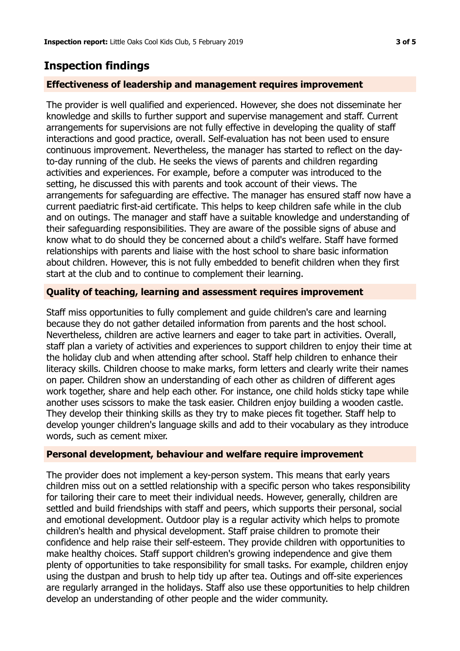## **Inspection findings**

#### **Effectiveness of leadership and management requires improvement**

The provider is well qualified and experienced. However, she does not disseminate her knowledge and skills to further support and supervise management and staff. Current arrangements for supervisions are not fully effective in developing the quality of staff interactions and good practice, overall. Self-evaluation has not been used to ensure continuous improvement. Nevertheless, the manager has started to reflect on the dayto-day running of the club. He seeks the views of parents and children regarding activities and experiences. For example, before a computer was introduced to the setting, he discussed this with parents and took account of their views. The arrangements for safeguarding are effective. The manager has ensured staff now have a current paediatric first-aid certificate. This helps to keep children safe while in the club and on outings. The manager and staff have a suitable knowledge and understanding of their safeguarding responsibilities. They are aware of the possible signs of abuse and know what to do should they be concerned about a child's welfare. Staff have formed relationships with parents and liaise with the host school to share basic information about children. However, this is not fully embedded to benefit children when they first start at the club and to continue to complement their learning.

#### **Quality of teaching, learning and assessment requires improvement**

Staff miss opportunities to fully complement and guide children's care and learning because they do not gather detailed information from parents and the host school. Nevertheless, children are active learners and eager to take part in activities. Overall, staff plan a variety of activities and experiences to support children to enjoy their time at the holiday club and when attending after school. Staff help children to enhance their literacy skills. Children choose to make marks, form letters and clearly write their names on paper. Children show an understanding of each other as children of different ages work together, share and help each other. For instance, one child holds sticky tape while another uses scissors to make the task easier. Children enjoy building a wooden castle. They develop their thinking skills as they try to make pieces fit together. Staff help to develop younger children's language skills and add to their vocabulary as they introduce words, such as cement mixer.

#### **Personal development, behaviour and welfare require improvement**

The provider does not implement a key-person system. This means that early years children miss out on a settled relationship with a specific person who takes responsibility for tailoring their care to meet their individual needs. However, generally, children are settled and build friendships with staff and peers, which supports their personal, social and emotional development. Outdoor play is a regular activity which helps to promote children's health and physical development. Staff praise children to promote their confidence and help raise their self-esteem. They provide children with opportunities to make healthy choices. Staff support children's growing independence and give them plenty of opportunities to take responsibility for small tasks. For example, children enjoy using the dustpan and brush to help tidy up after tea. Outings and off-site experiences are regularly arranged in the holidays. Staff also use these opportunities to help children develop an understanding of other people and the wider community.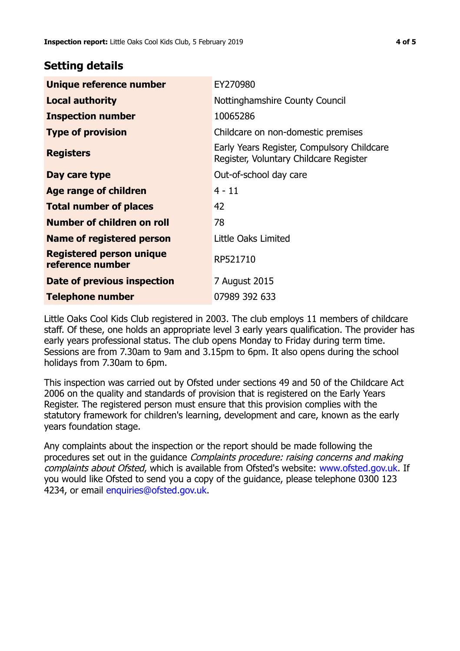## **Setting details**

| Unique reference number                             | EY270980                                                                             |
|-----------------------------------------------------|--------------------------------------------------------------------------------------|
| <b>Local authority</b>                              | Nottinghamshire County Council                                                       |
| <b>Inspection number</b>                            | 10065286                                                                             |
| <b>Type of provision</b>                            | Childcare on non-domestic premises                                                   |
| <b>Registers</b>                                    | Early Years Register, Compulsory Childcare<br>Register, Voluntary Childcare Register |
| Day care type                                       | Out-of-school day care                                                               |
| Age range of children                               | 4 - 11                                                                               |
| <b>Total number of places</b>                       | 42                                                                                   |
| Number of children on roll                          | 78                                                                                   |
| Name of registered person                           | Little Oaks Limited                                                                  |
| <b>Registered person unique</b><br>reference number | RP521710                                                                             |
| Date of previous inspection                         | 7 August 2015                                                                        |
| Telephone number                                    | 07989 392 633                                                                        |

Little Oaks Cool Kids Club registered in 2003. The club employs 11 members of childcare staff. Of these, one holds an appropriate level 3 early years qualification. The provider has early years professional status. The club opens Monday to Friday during term time. Sessions are from 7.30am to 9am and 3.15pm to 6pm. It also opens during the school holidays from 7.30am to 6pm.

This inspection was carried out by Ofsted under sections 49 and 50 of the Childcare Act 2006 on the quality and standards of provision that is registered on the Early Years Register. The registered person must ensure that this provision complies with the statutory framework for children's learning, development and care, known as the early years foundation stage.

Any complaints about the inspection or the report should be made following the procedures set out in the guidance Complaints procedure: raising concerns and making complaints about Ofsted, which is available from Ofsted's website: www.ofsted.gov.uk. If you would like Ofsted to send you a copy of the guidance, please telephone 0300 123 4234, or email [enquiries@ofsted.gov.uk.](mailto:enquiries@ofsted.gov.uk)